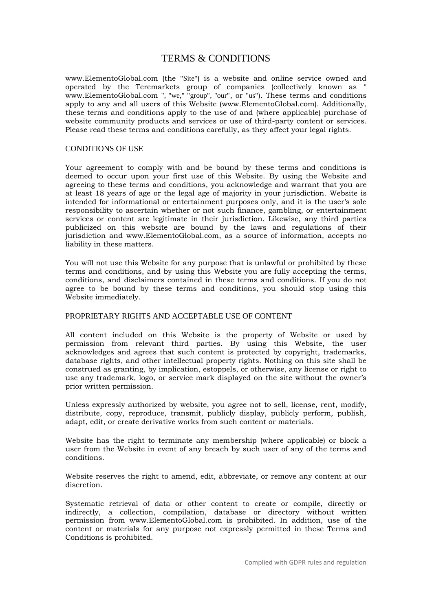# TERMS & CONDITIONS

www.ElementoGlobal.com (the "Site") is a website and online service owned and operated by the Teremarkets group of companies (collectively known as " www.ElementoGlobal.com ", "we," "group", "our", or "us"). These terms and conditions apply to any and all users of this Website (www.ElementoGlobal.com). Additionally, these terms and conditions apply to the use of and (where applicable) purchase of website community products and services or use of third-party content or services. Please read these terms and conditions carefully, as they affect your legal rights.

#### CONDITIONS OF USE

Your agreement to comply with and be bound by these terms and conditions is deemed to occur upon your first use of this Website. By using the Website and agreeing to these terms and conditions, you acknowledge and warrant that you are at least 18 years of age or the legal age of majority in your jurisdiction. Website is intended for informational or entertainment purposes only, and it is the user's sole responsibility to ascertain whether or not such finance, gambling, or entertainment services or content are legitimate in their jurisdiction. Likewise, any third parties publicized on this website are bound by the laws and regulations of their jurisdiction and www.ElementoGlobal.com, as a source of information, accepts no liability in these matters.

You will not use this Website for any purpose that is unlawful or prohibited by these terms and conditions, and by using this Website you are fully accepting the terms, conditions, and disclaimers contained in these terms and conditions. If you do not agree to be bound by these terms and conditions, you should stop using this Website immediately.

## PROPRIETARY RIGHTS AND ACCEPTABLE USE OF CONTENT

All content included on this Website is the property of Website or used by permission from relevant third parties. By using this Website, the user acknowledges and agrees that such content is protected by copyright, trademarks, database rights, and other intellectual property rights. Nothing on this site shall be construed as granting, by implication, estoppels, or otherwise, any license or right to use any trademark, logo, or service mark displayed on the site without the owner's prior written permission.

Unless expressly authorized by website, you agree not to sell, license, rent, modify, distribute, copy, reproduce, transmit, publicly display, publicly perform, publish, adapt, edit, or create derivative works from such content or materials.

Website has the right to terminate any membership (where applicable) or block a user from the Website in event of any breach by such user of any of the terms and conditions.

Website reserves the right to amend, edit, abbreviate, or remove any content at our discretion.

Systematic retrieval of data or other content to create or compile, directly or indirectly, a collection, compilation, database or directory without written permission from www.ElementoGlobal.com is prohibited. In addition, use of the content or materials for any purpose not expressly permitted in these Terms and Conditions is prohibited.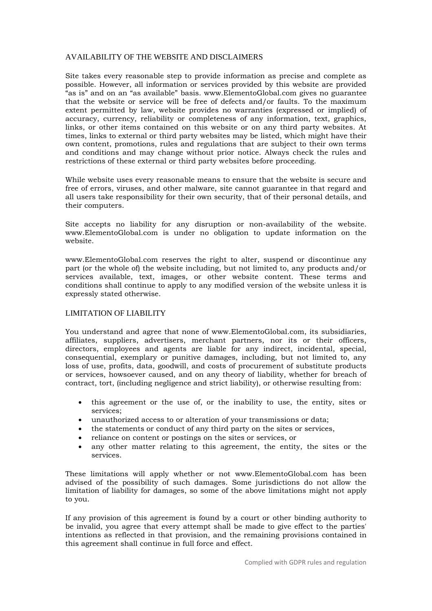# AVAILABILITY OF THE WEBSITE AND DISCLAIMERS

Site takes every reasonable step to provide information as precise and complete as possible. However, all information or services provided by this website are provided "as is" and on an "as available" basis. www.ElementoGlobal.com gives no guarantee that the website or service will be free of defects and/or faults. To the maximum extent permitted by law, website provides no warranties (expressed or implied) of accuracy, currency, reliability or completeness of any information, text, graphics, links, or other items contained on this website or on any third party websites. At times, links to external or third party websites may be listed, which might have their own content, promotions, rules and regulations that are subject to their own terms and conditions and may change without prior notice. Always check the rules and restrictions of these external or third party websites before proceeding.

While website uses every reasonable means to ensure that the website is secure and free of errors, viruses, and other malware, site cannot guarantee in that regard and all users take responsibility for their own security, that of their personal details, and their computers.

Site accepts no liability for any disruption or non-availability of the website. www.ElementoGlobal.com is under no obligation to update information on the website.

www.ElementoGlobal.com reserves the right to alter, suspend or discontinue any part (or the whole of) the website including, but not limited to, any products and/or services available, text, images, or other website content. These terms and conditions shall continue to apply to any modified version of the website unless it is expressly stated otherwise.

# LIMITATION OF LIABILITY

You understand and agree that none of www.ElementoGlobal.com, its subsidiaries, affiliates, suppliers, advertisers, merchant partners, nor its or their officers, directors, employees and agents are liable for any indirect, incidental, special, consequential, exemplary or punitive damages, including, but not limited to, any loss of use, profits, data, goodwill, and costs of procurement of substitute products or services, howsoever caused, and on any theory of liability, whether for breach of contract, tort, (including negligence and strict liability), or otherwise resulting from:

- this agreement or the use of, or the inability to use, the entity, sites or services;
- unauthorized access to or alteration of your transmissions or data;
- the statements or conduct of any third party on the sites or services,
- reliance on content or postings on the sites or services, or
- any other matter relating to this agreement, the entity, the sites or the services.

These limitations will apply whether or not www.ElementoGlobal.com has been advised of the possibility of such damages. Some jurisdictions do not allow the limitation of liability for damages, so some of the above limitations might not apply to you.

If any provision of this agreement is found by a court or other binding authority to be invalid, you agree that every attempt shall be made to give effect to the parties' intentions as reflected in that provision, and the remaining provisions contained in this agreement shall continue in full force and effect.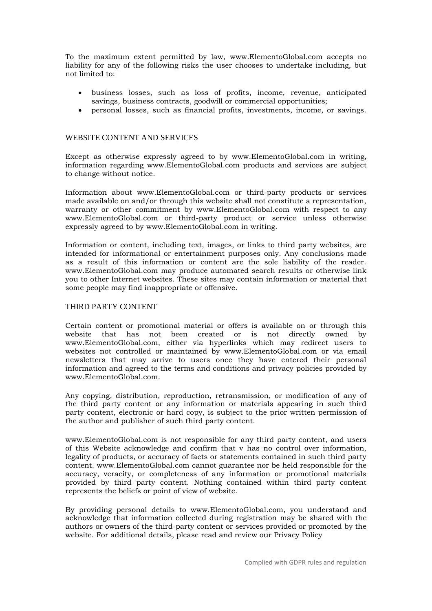To the maximum extent permitted by law, www.ElementoGlobal.com accepts no liability for any of the following risks the user chooses to undertake including, but not limited to:

- business losses, such as loss of profits, income, revenue, anticipated savings, business contracts, goodwill or commercial opportunities;
- personal losses, such as financial profits, investments, income, or savings.

## WEBSITE CONTENT AND SERVICES

Except as otherwise expressly agreed to by www.ElementoGlobal.com in writing, information regarding www.ElementoGlobal.com products and services are subject to change without notice.

Information about www.ElementoGlobal.com or third-party products or services made available on and/or through this website shall not constitute a representation, warranty or other commitment by www.ElementoGlobal.com with respect to any www.ElementoGlobal.com or third-party product or service unless otherwise expressly agreed to by www.ElementoGlobal.com in writing.

Information or content, including text, images, or links to third party websites, are intended for informational or entertainment purposes only. Any conclusions made as a result of this information or content are the sole liability of the reader. www.ElementoGlobal.com may produce automated search results or otherwise link you to other Internet websites. These sites may contain information or material that some people may find inappropriate or offensive.

## THIRD PARTY CONTENT

Certain content or promotional material or offers is available on or through this website that has not been created or is not directly owned by www.ElementoGlobal.com, either via hyperlinks which may redirect users to websites not controlled or maintained by www.ElementoGlobal.com or via email newsletters that may arrive to users once they have entered their personal information and agreed to the terms and conditions and privacy policies provided by www.ElementoGlobal.com.

Any copying, distribution, reproduction, retransmission, or modification of any of the third party content or any information or materials appearing in such third party content, electronic or hard copy, is subject to the prior written permission of the author and publisher of such third party content.

www.ElementoGlobal.com is not responsible for any third party content, and users of this Website acknowledge and confirm that v has no control over information, legality of products, or accuracy of facts or statements contained in such third party content. www.ElementoGlobal.com cannot guarantee nor be held responsible for the accuracy, veracity, or completeness of any information or promotional materials provided by third party content. Nothing contained within third party content represents the beliefs or point of view of website.

By providing personal details to www.ElementoGlobal.com, you understand and acknowledge that information collected during registration may be shared with the authors or owners of the third-party content or services provided or promoted by the website. For additional details, please read and review our Privacy Policy